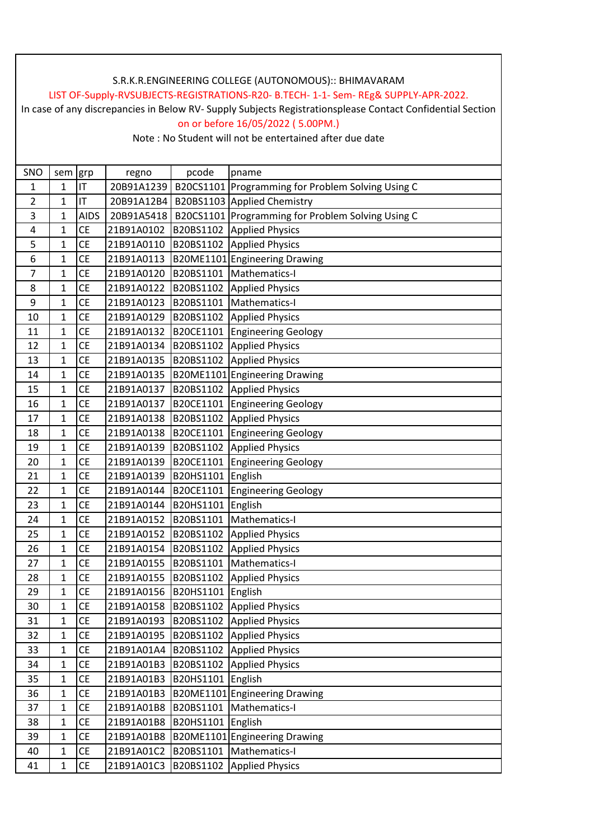## LIST OF-Supply-RVSUBJECTS-REGISTRATIONS-R20- B.TECH- 1-1- Sem- REg& SUPPLY-APR-2022.

In case of any discrepancies in Below RV- Supply Subjects Registrationsplease Contact Confidential Section on or before 16/05/2022 ( 5.00PM.)

| SNO | sem          | grp         | regno      | pcode     | pname                                             |
|-----|--------------|-------------|------------|-----------|---------------------------------------------------|
| 1   | $\mathbf 1$  | IT          | 20B91A1239 |           | B20CS1101 Programming for Problem Solving Using C |
| 2   | 1            | IT          | 20B91A12B4 |           | B20BS1103 Applied Chemistry                       |
| 3   | 1            | <b>AIDS</b> | 20B91A5418 |           | B20CS1101 Programming for Problem Solving Using C |
| 4   | $\mathbf 1$  | <b>CE</b>   | 21B91A0102 | B20BS1102 | <b>Applied Physics</b>                            |
| 5   | 1            | CE          | 21B91A0110 | B20BS1102 | <b>Applied Physics</b>                            |
| 6   | $\mathbf{1}$ | <b>CE</b>   | 21B91A0113 |           | B20ME1101 Engineering Drawing                     |
| 7   | $\mathbf{1}$ | <b>CE</b>   | 21B91A0120 | B20BS1101 | Mathematics-I                                     |
| 8   | 1            | <b>CE</b>   | 21B91A0122 |           | B20BS1102 Applied Physics                         |
| 9   | 1            | CE          | 21B91A0123 | B20BS1101 | Mathematics-I                                     |
| 10  | $\mathbf{1}$ | <b>CE</b>   | 21B91A0129 |           | B20BS1102 Applied Physics                         |
| 11  | $\mathbf{1}$ | <b>CE</b>   | 21B91A0132 | B20CE1101 | <b>Engineering Geology</b>                        |
| 12  | 1            | <b>CE</b>   | 21B91A0134 | B20BS1102 | <b>Applied Physics</b>                            |
| 13  | $\mathbf 1$  | <b>CE</b>   | 21B91A0135 | B20BS1102 | <b>Applied Physics</b>                            |
| 14  | $\mathbf 1$  | CE          | 21B91A0135 |           | B20ME1101 Engineering Drawing                     |
| 15  | 1            | <b>CE</b>   | 21B91A0137 |           | B20BS1102 Applied Physics                         |
| 16  | $\mathbf{1}$ | <b>CE</b>   | 21B91A0137 | B20CE1101 | <b>Engineering Geology</b>                        |
| 17  | $\mathbf 1$  | CE          | 21B91A0138 | B20BS1102 | <b>Applied Physics</b>                            |
| 18  | 1            | <b>CE</b>   | 21B91A0138 | B20CE1101 | <b>Engineering Geology</b>                        |
| 19  | $\mathbf{1}$ | <b>CE</b>   | 21B91A0139 | B20BS1102 | <b>Applied Physics</b>                            |
| 20  | $\mathbf{1}$ | <b>CE</b>   | 21B91A0139 | B20CE1101 | <b>Engineering Geology</b>                        |
| 21  | 1            | <b>CE</b>   | 21B91A0139 | B20HS1101 | English                                           |
| 22  | 1            | <b>CE</b>   | 21B91A0144 | B20CE1101 | <b>Engineering Geology</b>                        |
| 23  | $\mathbf 1$  | <b>CE</b>   | 21B91A0144 | B20HS1101 | English                                           |
| 24  | $\mathbf{1}$ | <b>CE</b>   | 21B91A0152 | B20BS1101 | Mathematics-I                                     |
| 25  | $\mathbf{1}$ | <b>CE</b>   | 21B91A0152 | B20BS1102 | <b>Applied Physics</b>                            |
| 26  | $\mathbf{1}$ | CE          | 21B91A0154 | B20BS1102 | <b>Applied Physics</b>                            |
| 27  | 1            | CE          | 21B91A0155 | B20BS1101 | Mathematics-I                                     |
| 28  | 1            | CE          | 21B91A0155 | B20BS1102 | <b>Applied Physics</b>                            |
| 29  | $\mathbf{1}$ | <b>CE</b>   | 21B91A0156 | B20HS1101 | English                                           |
| 30  | $\mathbf{1}$ | <b>CE</b>   | 21B91A0158 | B20BS1102 | <b>Applied Physics</b>                            |
| 31  | 1            | <b>CE</b>   | 21B91A0193 | B20BS1102 | <b>Applied Physics</b>                            |
| 32  | $\mathbf{1}$ | CE          | 21B91A0195 | B20BS1102 | <b>Applied Physics</b>                            |
| 33  | 1            | CE          | 21B91A01A4 | B20BS1102 | <b>Applied Physics</b>                            |
| 34  | 1            | <b>CE</b>   | 21B91A01B3 | B20BS1102 | <b>Applied Physics</b>                            |
| 35  | 1            | CE          | 21B91A01B3 | B20HS1101 | English                                           |
| 36  | $\mathbf 1$  | <b>CE</b>   | 21B91A01B3 |           | B20ME1101 Engineering Drawing                     |
| 37  | 1            | <b>CE</b>   | 21B91A01B8 | B20BS1101 | Mathematics-I                                     |
| 38  | $\mathbf 1$  | CE          | 21B91A01B8 | B20HS1101 | English                                           |
| 39  | $\mathbf 1$  | <b>CE</b>   | 21B91A01B8 |           | B20ME1101 Engineering Drawing                     |
| 40  | 1            | CE          | 21B91A01C2 | B20BS1101 | Mathematics-I                                     |
| 41  | $\mathbf 1$  | <b>CE</b>   | 21B91A01C3 | B20BS1102 | <b>Applied Physics</b>                            |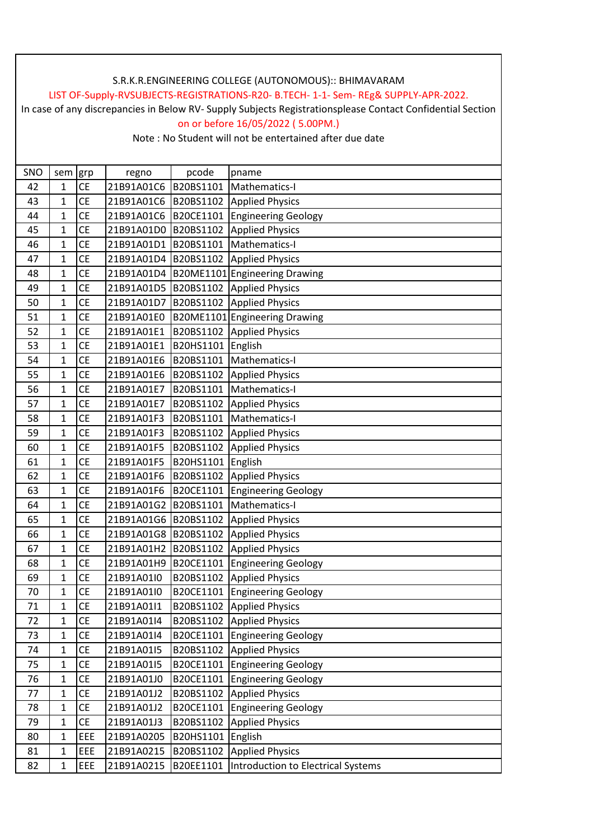## LIST OF-Supply-RVSUBJECTS-REGISTRATIONS-R20- B.TECH- 1-1- Sem- REg& SUPPLY-APR-2022.

In case of any discrepancies in Below RV- Supply Subjects Registrationsplease Contact Confidential Section on or before 16/05/2022 ( 5.00PM.)

| SNO | sem grp      |           | regno                | pcode     | pname                              |
|-----|--------------|-----------|----------------------|-----------|------------------------------------|
| 42  | 1            | <b>CE</b> | 21B91A01C6           | B20BS1101 | Mathematics-I                      |
| 43  | 1            | <b>CE</b> | 21B91A01C6           | B20BS1102 | <b>Applied Physics</b>             |
| 44  | 1            | <b>CE</b> | 21B91A01C6           | B20CE1101 | <b>Engineering Geology</b>         |
| 45  | $\mathbf{1}$ | <b>CE</b> | 21B91A01D0           | B20BS1102 | <b>Applied Physics</b>             |
| 46  | 1            | <b>CE</b> | 21B91A01D1 B20BS1101 |           | Mathematics-I                      |
| 47  | $\mathbf{1}$ | <b>CE</b> | 21B91A01D4           | B20BS1102 | <b>Applied Physics</b>             |
| 48  | $\mathbf{1}$ | <b>CE</b> | 21B91A01D4           |           | B20ME1101 Engineering Drawing      |
| 49  | 1            | <b>CE</b> | 21B91A01D5           | B20BS1102 | <b>Applied Physics</b>             |
| 50  | 1            | <b>CE</b> | 21B91A01D7           | B20BS1102 | <b>Applied Physics</b>             |
| 51  | $\mathbf{1}$ | <b>CE</b> | 21B91A01E0           |           | B20ME1101 Engineering Drawing      |
| 52  | $\mathbf{1}$ | <b>CE</b> | 21B91A01E1           | B20BS1102 | <b>Applied Physics</b>             |
| 53  | 1            | <b>CE</b> | 21B91A01E1           | B20HS1101 | English                            |
| 54  | 1            | <b>CE</b> | 21B91A01E6           | B20BS1101 | Mathematics-I                      |
| 55  | 1            | CE        | 21B91A01E6           | B20BS1102 | <b>Applied Physics</b>             |
| 56  | 1            | <b>CE</b> | 21B91A01E7           | B20BS1101 | Mathematics-I                      |
| 57  | $\mathbf{1}$ | <b>CE</b> | 21B91A01E7           | B20BS1102 | <b>Applied Physics</b>             |
| 58  | 1            | CE        | 21B91A01F3           | B20BS1101 | Mathematics-I                      |
| 59  | 1            | <b>CE</b> | 21B91A01F3           | B20BS1102 | <b>Applied Physics</b>             |
| 60  | 1            | <b>CE</b> | 21B91A01F5           | B20BS1102 | <b>Applied Physics</b>             |
| 61  | $\mathbf{1}$ | <b>CE</b> | 21B91A01F5           | B20HS1101 | English                            |
| 62  | 1            | <b>CE</b> | 21B91A01F6           | B20BS1102 | <b>Applied Physics</b>             |
| 63  | 1            | <b>CE</b> | 21B91A01F6           | B20CE1101 | <b>Engineering Geology</b>         |
| 64  | $\mathbf{1}$ | <b>CE</b> | 21B91A01G2           | B20BS1101 | Mathematics-I                      |
| 65  | 1            | <b>CE</b> | 21B91A01G6 B20BS1102 |           | <b>Applied Physics</b>             |
| 66  | 1            | <b>CE</b> | 21B91A01G8           | B20BS1102 | <b>Applied Physics</b>             |
| 67  | $\mathbf{1}$ | <b>CE</b> | 21B91A01H2           | B20BS1102 | <b>Applied Physics</b>             |
| 68  | 1            | <b>CE</b> | 21B91A01H9           | B20CE1101 | <b>Engineering Geology</b>         |
| 69  | 1            | CE        | 21B91A01I0           | B20BS1102 | <b>Applied Physics</b>             |
| 70  | $\mathbf{1}$ | CE        | 21B91A01I0           | B20CE1101 | <b>Engineering Geology</b>         |
| 71  | 1            | <b>CE</b> | 21B91A01I1           | B20BS1102 | <b>Applied Physics</b>             |
| 72  | 1            | CE        | 21B91A01I4           | B20BS1102 | <b>Applied Physics</b>             |
| 73  | $\mathbf{1}$ | <b>CE</b> | 21B91A01I4           | B20CE1101 | <b>Engineering Geology</b>         |
| 74  | $\mathbf{1}$ | CE        | 21B91A01I5           | B20BS1102 | <b>Applied Physics</b>             |
| 75  | 1            | <b>CE</b> | 21B91A01I5           | B20CE1101 | <b>Engineering Geology</b>         |
| 76  | $\mathbf{1}$ | CE        | 21B91A01J0           | B20CE1101 | <b>Engineering Geology</b>         |
| 77  | $\mathbf{1}$ | CE        | 21B91A01J2           | B20BS1102 | <b>Applied Physics</b>             |
| 78  | $\mathbf{1}$ | <b>CE</b> | 21B91A01J2           | B20CE1101 | <b>Engineering Geology</b>         |
| 79  | $\mathbf{1}$ | CE        | 21B91A01J3           | B20BS1102 | <b>Applied Physics</b>             |
| 80  | $\mathbf 1$  | EEE       | 21B91A0205           | B20HS1101 | English                            |
| 81  | 1            | EEE       | 21B91A0215           | B20BS1102 | <b>Applied Physics</b>             |
| 82  | $\mathbf{1}$ | EEE       | 21B91A0215           | B20EE1101 | Introduction to Electrical Systems |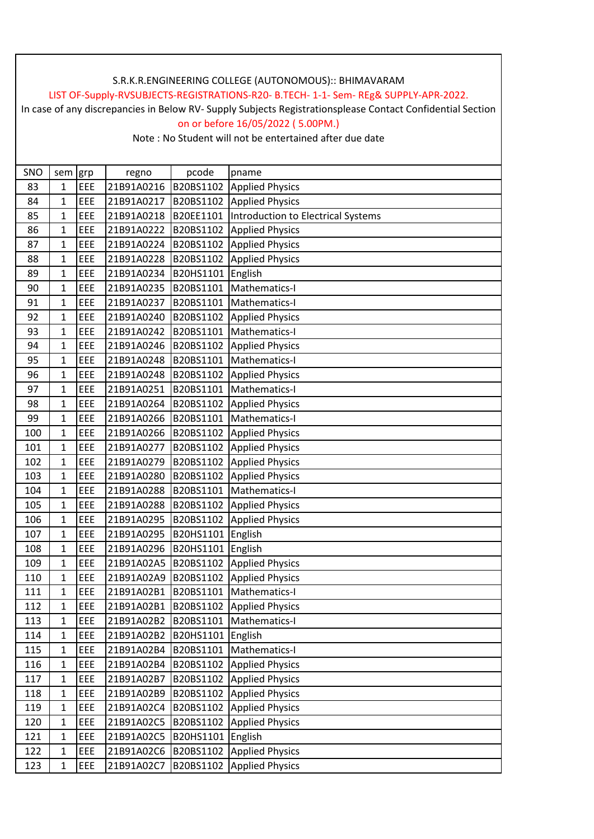## LIST OF-Supply-RVSUBJECTS-REGISTRATIONS-R20- B.TECH- 1-1- Sem- REg& SUPPLY-APR-2022.

In case of any discrepancies in Below RV- Supply Subjects Registrationsplease Contact Confidential Section on or before 16/05/2022 ( 5.00PM.)

| SNO | sem grp      |     | regno      | pcode     | pname                                     |
|-----|--------------|-----|------------|-----------|-------------------------------------------|
| 83  | 1            | EEE | 21B91A0216 | B20BS1102 | <b>Applied Physics</b>                    |
| 84  | 1            | EEE | 21B91A0217 | B20BS1102 | <b>Applied Physics</b>                    |
| 85  | 1            | EEE | 21B91A0218 | B20EE1101 | <b>Introduction to Electrical Systems</b> |
| 86  | 1            | EEE | 21B91A0222 | B20BS1102 | <b>Applied Physics</b>                    |
| 87  | 1            | EEE | 21B91A0224 | B20BS1102 | <b>Applied Physics</b>                    |
| 88  | 1            | EEE | 21B91A0228 | B20BS1102 | <b>Applied Physics</b>                    |
| 89  | 1            | EEE | 21B91A0234 | B20HS1101 | English                                   |
| 90  | 1            | EEE | 21B91A0235 | B20BS1101 | Mathematics-I                             |
| 91  | 1            | EEE | 21B91A0237 | B20BS1101 | Mathematics-I                             |
| 92  | $\mathbf{1}$ | EEE | 21B91A0240 | B20BS1102 | <b>Applied Physics</b>                    |
| 93  | $\mathbf{1}$ | EEE | 21B91A0242 | B20BS1101 | Mathematics-I                             |
| 94  | $\mathbf{1}$ | EEE | 21B91A0246 | B20BS1102 | <b>Applied Physics</b>                    |
| 95  | $\mathbf 1$  | EEE | 21B91A0248 | B20BS1101 | Mathematics-I                             |
| 96  | 1            | EEE | 21B91A0248 | B20BS1102 | <b>Applied Physics</b>                    |
| 97  | $\mathbf{1}$ | EEE | 21B91A0251 | B20BS1101 | Mathematics-I                             |
| 98  | $\mathbf{1}$ | EEE | 21B91A0264 | B20BS1102 | <b>Applied Physics</b>                    |
| 99  | 1            | EEE | 21B91A0266 | B20BS1101 | Mathematics-I                             |
| 100 | $\mathbf{1}$ | EEE | 21B91A0266 | B20BS1102 | <b>Applied Physics</b>                    |
| 101 | $\mathbf{1}$ | EEE | 21B91A0277 | B20BS1102 | <b>Applied Physics</b>                    |
| 102 | 1            | EEE | 21B91A0279 | B20BS1102 | <b>Applied Physics</b>                    |
| 103 | 1            | EEE | 21B91A0280 | B20BS1102 | <b>Applied Physics</b>                    |
| 104 | $\mathbf{1}$ | EEE | 21B91A0288 | B20BS1101 | Mathematics-I                             |
| 105 | 1            | EEE | 21B91A0288 | B20BS1102 | <b>Applied Physics</b>                    |
| 106 | 1            | EEE | 21B91A0295 | B20BS1102 | <b>Applied Physics</b>                    |
| 107 | $\mathbf{1}$ | EEE | 21B91A0295 | B20HS1101 | English                                   |
| 108 | 1            | EEE | 21B91A0296 | B20HS1101 | English                                   |
| 109 | 1            | EEE | 21B91A02A5 | B20BS1102 | <b>Applied Physics</b>                    |
| 110 | 1            | EEE | 21B91A02A9 | B20BS1102 | <b>Applied Physics</b>                    |
| 111 | $\mathbf{1}$ | EEE | 21B91A02B1 | B20BS1101 | Mathematics-I                             |
| 112 | $\mathbf{1}$ | EEE | 21B91A02B1 | B20BS1102 | <b>Applied Physics</b>                    |
| 113 | $\mathbf{1}$ | EEE | 21B91A02B2 | B20BS1101 | Mathematics-I                             |
| 114 | $\mathbf{1}$ | EEE | 21B91A02B2 | B20HS1101 | English                                   |
| 115 | 1            | EEE | 21B91A02B4 | B20BS1101 | Mathematics-I                             |
| 116 | $\mathbf{1}$ | EEE | 21B91A02B4 | B20BS1102 | <b>Applied Physics</b>                    |
| 117 | $\mathbf 1$  | EEE | 21B91A02B7 | B20BS1102 | <b>Applied Physics</b>                    |
| 118 | 1            | EEE | 21B91A02B9 | B20BS1102 | <b>Applied Physics</b>                    |
| 119 | $\mathbf{1}$ | EEE | 21B91A02C4 | B20BS1102 | <b>Applied Physics</b>                    |
| 120 | 1            | EEE | 21B91A02C5 | B20BS1102 | <b>Applied Physics</b>                    |
| 121 | $\mathbf{1}$ | EEE | 21B91A02C5 | B20HS1101 | English                                   |
| 122 | 1            | EEE | 21B91A02C6 | B20BS1102 | <b>Applied Physics</b>                    |
| 123 | $\mathbf{1}$ | EEE | 21B91A02C7 | B20BS1102 | <b>Applied Physics</b>                    |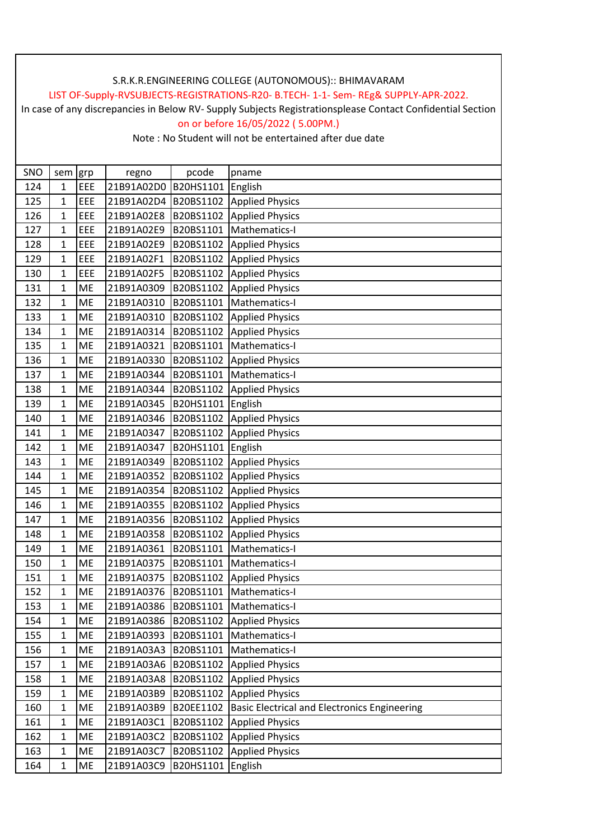## LIST OF-Supply-RVSUBJECTS-REGISTRATIONS-R20- B.TECH- 1-1- Sem- REg& SUPPLY-APR-2022.

In case of any discrepancies in Below RV- Supply Subjects Registrationsplease Contact Confidential Section on or before 16/05/2022 ( 5.00PM.)

| SNO | sem grp        |           | regno      | pcode     | pname                                               |
|-----|----------------|-----------|------------|-----------|-----------------------------------------------------|
| 124 | 1              | EEE       | 21B91A02D0 | B20HS1101 | English                                             |
| 125 | 1              | EEE       | 21B91A02D4 | B20BS1102 | <b>Applied Physics</b>                              |
| 126 | 1              | EEE       | 21B91A02E8 | B20BS1102 | <b>Applied Physics</b>                              |
| 127 | $\mathbf 1$    | EEE       | 21B91A02E9 | B20BS1101 | Mathematics-I                                       |
| 128 | $\mathbf 1$    | EEE       | 21B91A02E9 | B20BS1102 | <b>Applied Physics</b>                              |
| 129 | 1              | EEE       | 21B91A02F1 | B20BS1102 | <b>Applied Physics</b>                              |
| 130 | $\mathbf 1$    | EEE       | 21B91A02F5 | B20BS1102 | <b>Applied Physics</b>                              |
| 131 | 1              | <b>ME</b> | 21B91A0309 | B20BS1102 | <b>Applied Physics</b>                              |
| 132 | $\mathbf 1$    | ME        | 21B91A0310 | B20BS1101 | Mathematics-I                                       |
| 133 | 1              | ME        | 21B91A0310 | B20BS1102 | <b>Applied Physics</b>                              |
| 134 | $\mathbf 1$    | <b>ME</b> | 21B91A0314 | B20BS1102 | <b>Applied Physics</b>                              |
| 135 | $\mathbf 1$    | ME        | 21B91A0321 | B20BS1101 | Mathematics-I                                       |
| 136 | 1              | ME        | 21B91A0330 | B20BS1102 | <b>Applied Physics</b>                              |
| 137 | 1              | ME        | 21B91A0344 | B20BS1101 | Mathematics-I                                       |
| 138 | 1              | ME        | 21B91A0344 | B20BS1102 | <b>Applied Physics</b>                              |
| 139 | $\mathbf 1$    | ME        | 21B91A0345 | B20HS1101 | English                                             |
| 140 | 1              | ME        | 21B91A0346 | B20BS1102 | <b>Applied Physics</b>                              |
| 141 | 1              | ME        | 21B91A0347 | B20BS1102 | <b>Applied Physics</b>                              |
| 142 | $\mathbf 1$    | ME        | 21B91A0347 | B20HS1101 | English                                             |
| 143 | 1              | ME        | 21B91A0349 | B20BS1102 | <b>Applied Physics</b>                              |
| 144 | 1              | ME        | 21B91A0352 | B20BS1102 | <b>Applied Physics</b>                              |
| 145 | 1              | ME        | 21B91A0354 | B20BS1102 | <b>Applied Physics</b>                              |
| 146 | $\mathbf 1$    | ME        | 21B91A0355 | B20BS1102 | <b>Applied Physics</b>                              |
| 147 | $\mathbf 1$    | ME        | 21B91A0356 | B20BS1102 | <b>Applied Physics</b>                              |
| 148 | $\overline{1}$ | <b>ME</b> | 21B91A0358 | B20BS1102 | <b>Applied Physics</b>                              |
| 149 | $\mathbf 1$    | ME        | 21B91A0361 | B20BS1101 | Mathematics-I                                       |
| 150 | 1              | ME        | 21B91A0375 | B20BS1101 | Mathematics-I                                       |
| 151 | $\mathbf 1$    | <b>ME</b> | 21B91A0375 | B20BS1102 | <b>Applied Physics</b>                              |
| 152 | $\mathbf 1$    | <b>ME</b> | 21B91A0376 | B20BS1101 | Mathematics-I                                       |
| 153 | $\mathbf{1}$   | <b>ME</b> | 21B91A0386 | B20BS1101 | Mathematics-I                                       |
| 154 | $\mathbf 1$    | ME        | 21B91A0386 | B20BS1102 | <b>Applied Physics</b>                              |
| 155 | $\mathbf 1$    | ME        | 21B91A0393 | B20BS1101 | Mathematics-I                                       |
| 156 | 1              | ME        | 21B91A03A3 | B20BS1101 | Mathematics-I                                       |
| 157 | $\mathbf 1$    | ME        | 21B91A03A6 | B20BS1102 | <b>Applied Physics</b>                              |
| 158 | $\mathbf 1$    | ME        | 21B91A03A8 | B20BS1102 | <b>Applied Physics</b>                              |
| 159 | $\mathbf 1$    | ME        | 21B91A03B9 | B20BS1102 | <b>Applied Physics</b>                              |
| 160 | $\mathbf 1$    | ME        | 21B91A03B9 | B20EE1102 | <b>Basic Electrical and Electronics Engineering</b> |
| 161 | 1              | ME        | 21B91A03C1 | B20BS1102 | <b>Applied Physics</b>                              |
| 162 | 1              | ME        | 21B91A03C2 | B20BS1102 | <b>Applied Physics</b>                              |
| 163 | 1              | ME        | 21B91A03C7 | B20BS1102 | <b>Applied Physics</b>                              |
| 164 | $\mathbf 1$    | <b>ME</b> | 21B91A03C9 | B20HS1101 | English                                             |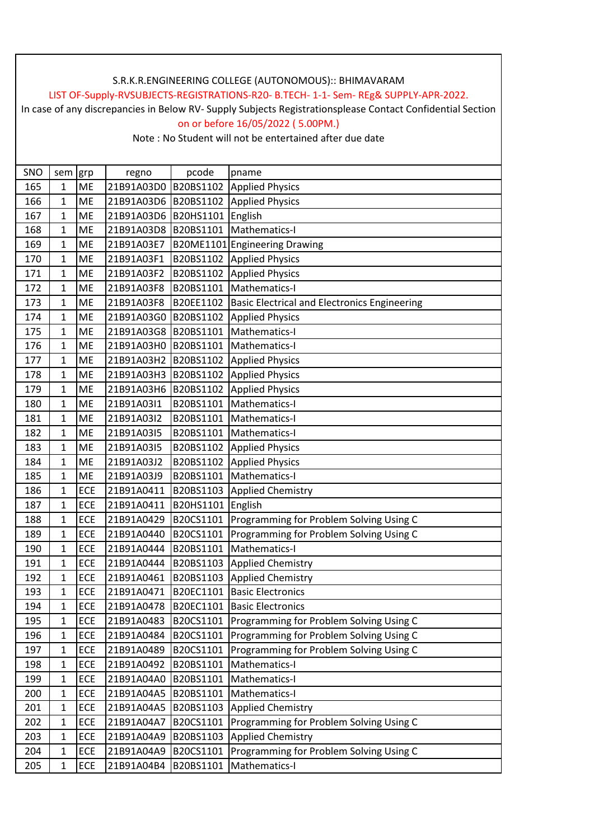## LIST OF-Supply-RVSUBJECTS-REGISTRATIONS-R20- B.TECH- 1-1- Sem- REg& SUPPLY-APR-2022.

In case of any discrepancies in Below RV- Supply Subjects Registrationsplease Contact Confidential Section on or before 16/05/2022 ( 5.00PM.)

| SNO | sem grp        |            | regno                | pcode     | pname                                               |
|-----|----------------|------------|----------------------|-----------|-----------------------------------------------------|
| 165 | $\mathbf{1}$   | <b>ME</b>  | 21B91A03D0           | B20BS1102 | <b>Applied Physics</b>                              |
| 166 | 1              | ME         | 21B91A03D6           | B20BS1102 | <b>Applied Physics</b>                              |
| 167 | 1              | <b>ME</b>  | 21B91A03D6           | B20HS1101 | English                                             |
| 168 | $\mathbf 1$    | ME         | 21B91A03D8 B20BS1101 |           | Mathematics-I                                       |
| 169 | $\mathbf 1$    | ME         | 21B91A03E7           | B20ME1101 | <b>Engineering Drawing</b>                          |
| 170 | $\mathbf{1}$   | ME         | 21B91A03F1           | B20BS1102 | <b>Applied Physics</b>                              |
| 171 | $\mathbf{1}$   | <b>ME</b>  | 21B91A03F2           | B20BS1102 | <b>Applied Physics</b>                              |
| 172 | 1              | <b>ME</b>  | 21B91A03F8           | B20BS1101 | Mathematics-I                                       |
| 173 | 1              | ME         | 21B91A03F8           | B20EE1102 | <b>Basic Electrical and Electronics Engineering</b> |
| 174 | 1              | ME         | 21B91A03G0           | B20BS1102 | <b>Applied Physics</b>                              |
| 175 | $\mathbf 1$    | ME         | 21B91A03G8           | B20BS1101 | Mathematics-I                                       |
| 176 | $\mathbf 1$    | <b>ME</b>  | 21B91A03H0           | B20BS1101 | Mathematics-I                                       |
| 177 | 1              | <b>ME</b>  | 21B91A03H2           | B20BS1102 | <b>Applied Physics</b>                              |
| 178 | $\mathbf 1$    | <b>ME</b>  | 21B91A03H3           | B20BS1102 | <b>Applied Physics</b>                              |
| 179 | 1              | <b>ME</b>  | 21B91A03H6           | B20BS1102 | <b>Applied Physics</b>                              |
| 180 | 1              | ME         | 21B91A03I1           | B20BS1101 | Mathematics-I                                       |
| 181 | 1              | <b>ME</b>  | 21B91A03I2           | B20BS1101 | Mathematics-I                                       |
| 182 | 1              | <b>ME</b>  | 21B91A03I5           | B20BS1101 | Mathematics-I                                       |
| 183 | 1              | <b>ME</b>  | 21B91A03I5           | B20BS1102 | <b>Applied Physics</b>                              |
| 184 | $\mathbf{1}$   | <b>ME</b>  | 21B91A03J2           | B20BS1102 | <b>Applied Physics</b>                              |
| 185 | 1              | ME         | 21B91A03J9           | B20BS1101 | Mathematics-I                                       |
| 186 | 1              | ECE        | 21B91A0411           | B20BS1103 | <b>Applied Chemistry</b>                            |
| 187 | 1              | ECE        | 21B91A0411           | B20HS1101 | English                                             |
| 188 | 1              | ECE        | 21B91A0429           | B20CS1101 | Programming for Problem Solving Using C             |
| 189 | 1              | ECE        | 21B91A0440           | B20CS1101 | Programming for Problem Solving Using C             |
| 190 | $\mathbf{1}$   | ECE        | 21B91A0444           | B20BS1101 | Mathematics-I                                       |
| 191 | 1              | ECE        | 21B91A0444           | B20BS1103 | <b>Applied Chemistry</b>                            |
| 192 | 1              | ECE        | 21B91A0461           | B20BS1103 | <b>Applied Chemistry</b>                            |
| 193 | $\overline{1}$ | ECE        | 21B91A0471           | B20EC1101 | <b>Basic Electronics</b>                            |
| 194 | 1              | ECE        | 21B91A0478           | B20EC1101 | <b>Basic Electronics</b>                            |
| 195 | $\mathbf{1}$   | ECE        | 21B91A0483           | B20CS1101 | Programming for Problem Solving Using C             |
| 196 | $\mathbf{1}$   | ECE        | 21B91A0484           | B20CS1101 | Programming for Problem Solving Using C             |
| 197 | 1              | <b>ECE</b> | 21B91A0489           | B20CS1101 | Programming for Problem Solving Using C             |
| 198 | 1              | ECE        | 21B91A0492           | B20BS1101 | Mathematics-I                                       |
| 199 | $\mathbf 1$    | ECE        | 21B91A04A0           | B20BS1101 | Mathematics-I                                       |
| 200 | $\mathbf{1}$   | ECE        | 21B91A04A5           | B20BS1101 | Mathematics-I                                       |
| 201 | $\mathbf{1}$   | ECE        | 21B91A04A5           | B20BS1103 | <b>Applied Chemistry</b>                            |
| 202 | $\mathbf{1}$   | ECE        | 21B91A04A7           | B20CS1101 | Programming for Problem Solving Using C             |
| 203 | $\mathbf{1}$   | ECE        | 21B91A04A9           | B20BS1103 | <b>Applied Chemistry</b>                            |
| 204 | 1              | ECE        | 21B91A04A9           | B20CS1101 | Programming for Problem Solving Using C             |
| 205 | 1              | ECE        | 21B91A04B4           | B20BS1101 | Mathematics-I                                       |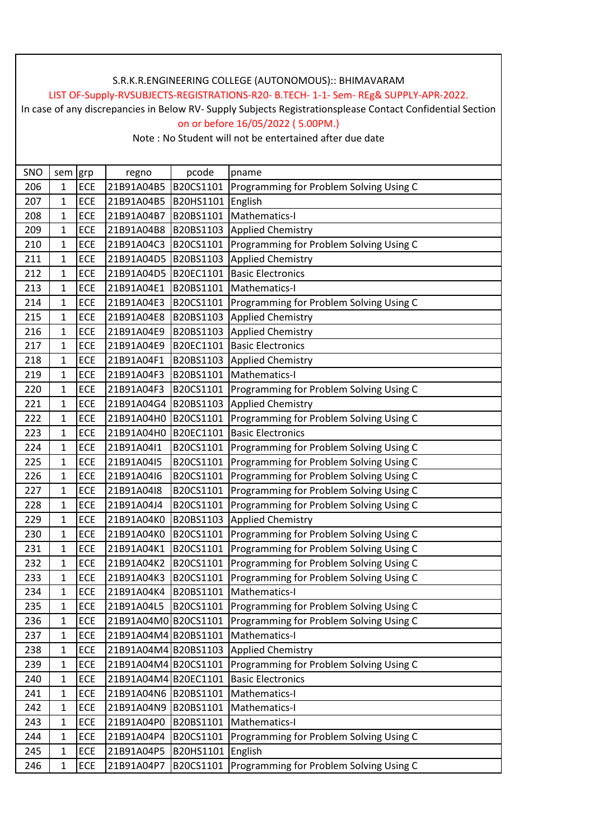## LIST OF-Supply-RVSUBJECTS-REGISTRATIONS-R20- B.TECH- 1-1- Sem- REg& SUPPLY-APR-2022.

In case of any discrepancies in Below RV- Supply Subjects Registrationsplease Contact Confidential Section on or before 16/05/2022 ( 5.00PM.)

| SNO | sem grp      |            | regno                | pcode     | pname                                   |
|-----|--------------|------------|----------------------|-----------|-----------------------------------------|
| 206 | $\mathbf{1}$ | ECE        | 21B91A04B5           | B20CS1101 | Programming for Problem Solving Using C |
| 207 | 1            | ECE        | 21B91A04B5           | B20HS1101 | English                                 |
| 208 | $\mathbf{1}$ | ECE        | 21B91A04B7           | B20BS1101 | Mathematics-I                           |
| 209 | 1            | ECE        | 21B91A04B8           | B20BS1103 | <b>Applied Chemistry</b>                |
| 210 | 1            | <b>ECE</b> | 21B91A04C3           | B20CS1101 | Programming for Problem Solving Using C |
| 211 | 1            | ECE        | 21B91A04D5           | B20BS1103 | <b>Applied Chemistry</b>                |
| 212 | 1            | <b>ECE</b> | 21B91A04D5           | B20EC1101 | <b>Basic Electronics</b>                |
| 213 | 1            | <b>ECE</b> | 21B91A04E1           | B20BS1101 | Mathematics-I                           |
| 214 | 1            | ECE        | 21B91A04E3           | B20CS1101 | Programming for Problem Solving Using C |
| 215 | 1            | <b>ECE</b> | 21B91A04E8           | B20BS1103 | <b>Applied Chemistry</b>                |
| 216 | 1            | ECE        | 21B91A04E9           | B20BS1103 | <b>Applied Chemistry</b>                |
| 217 | 1            | ECE        | 21B91A04E9           | B20EC1101 | <b>Basic Electronics</b>                |
| 218 | 1            | <b>ECE</b> | 21B91A04F1           | B20BS1103 | <b>Applied Chemistry</b>                |
| 219 | $\mathbf 1$  | <b>ECE</b> | 21B91A04F3           | B20BS1101 | Mathematics-I                           |
| 220 | 1            | <b>ECE</b> | 21B91A04F3           | B20CS1101 | Programming for Problem Solving Using C |
| 221 | 1            | ECE        | 21B91A04G4           | B20BS1103 | <b>Applied Chemistry</b>                |
| 222 | $\mathbf{1}$ | ECE        | 21B91A04H0           | B20CS1101 | Programming for Problem Solving Using C |
| 223 | 1            | ECE        | 21B91A04H0           | B20EC1101 | <b>Basic Electronics</b>                |
| 224 | 1            | ECE        | 21B91A04I1           | B20CS1101 | Programming for Problem Solving Using C |
| 225 | $\mathbf{1}$ | ECE        | 21B91A04I5           | B20CS1101 | Programming for Problem Solving Using C |
| 226 | 1            | ECE        | 21B91A04I6           | B20CS1101 | Programming for Problem Solving Using C |
| 227 | $\mathbf{1}$ | ECE        | 21B91A04I8           | B20CS1101 | Programming for Problem Solving Using C |
| 228 | 1            | ECE        | 21B91A04J4           | B20CS1101 | Programming for Problem Solving Using C |
| 229 | $\mathbf 1$  | ECE        | 21B91A04K0           | B20BS1103 | <b>Applied Chemistry</b>                |
| 230 | $\mathbf{1}$ | ECE        | 21B91A04K0           | B20CS1101 | Programming for Problem Solving Using C |
| 231 | $\mathbf 1$  | ECE        | 21B91A04K1           | B20CS1101 | Programming for Problem Solving Using C |
| 232 | $\mathbf{1}$ | ECE        | 21B91A04K2           | B20CS1101 | Programming for Problem Solving Using C |
| 233 | 1            | ECE        | 21B91A04K3           | B20CS1101 | Programming for Problem Solving Using C |
| 234 | $\mathbf{1}$ | <b>ECE</b> | 21B91A04K4           | B20BS1101 | Mathematics-I                           |
| 235 | $\mathbf{1}$ | ECE        | 21B91A04L5           | B20CS1101 | Programming for Problem Solving Using C |
| 236 | $\mathbf{1}$ | <b>ECE</b> | 21B91A04M0 B20CS1101 |           | Programming for Problem Solving Using C |
| 237 | $\mathbf{1}$ | <b>ECE</b> | 21B91A04M4 B20BS1101 |           | Mathematics-I                           |
| 238 | $\mathbf 1$  | ECE        | 21B91A04M4 B20BS1103 |           | <b>Applied Chemistry</b>                |
| 239 | 1            | <b>ECE</b> | 21B91A04M4 B20CS1101 |           | Programming for Problem Solving Using C |
| 240 | $\mathbf 1$  | ECE        | 21B91A04M4 B20EC1101 |           | <b>Basic Electronics</b>                |
| 241 | $\mathbf 1$  | <b>ECE</b> | 21B91A04N6 B20BS1101 |           | Mathematics-I                           |
| 242 | $\mathbf 1$  | ECE        | 21B91A04N9           | B20BS1101 | Mathematics-I                           |
| 243 | $\mathbf 1$  | ECE        | 21B91A04P0           | B20BS1101 | Mathematics-I                           |
| 244 | $\mathbf{1}$ | <b>ECE</b> | 21B91A04P4           | B20CS1101 | Programming for Problem Solving Using C |
| 245 | 1            | ECE        | 21B91A04P5           | B20HS1101 | English                                 |
| 246 | $\mathbf 1$  | <b>ECE</b> | 21B91A04P7           | B20CS1101 | Programming for Problem Solving Using C |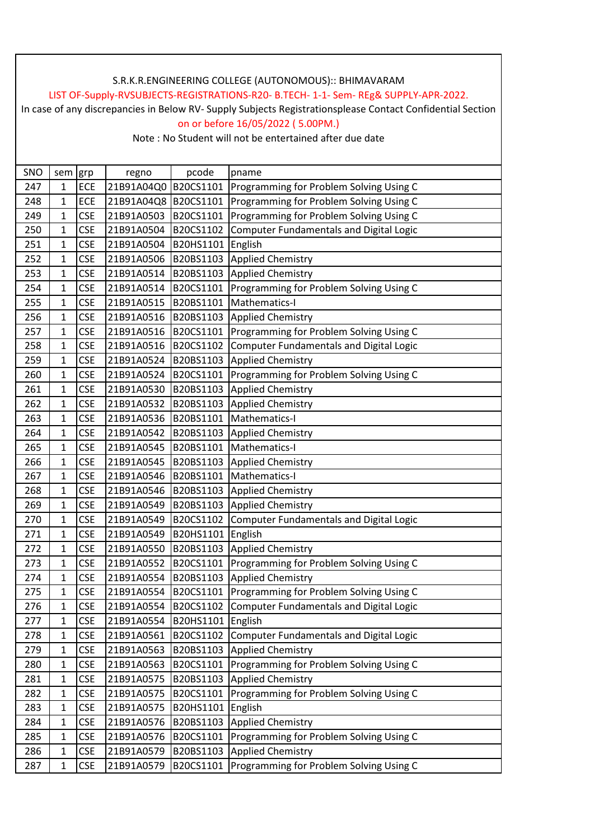## LIST OF-Supply-RVSUBJECTS-REGISTRATIONS-R20- B.TECH- 1-1- Sem- REg& SUPPLY-APR-2022.

In case of any discrepancies in Below RV- Supply Subjects Registrationsplease Contact Confidential Section on or before 16/05/2022 ( 5.00PM.)

| SNO | sem grp        |            | regno                | pcode             | pname                                          |
|-----|----------------|------------|----------------------|-------------------|------------------------------------------------|
| 247 | 1              | ECE        | 21B91A04Q0           | B20CS1101         | Programming for Problem Solving Using C        |
| 248 | 1              | ECE        | 21B91A04Q8 B20CS1101 |                   | Programming for Problem Solving Using C        |
| 249 | 1              | <b>CSE</b> | 21B91A0503           | B20CS1101         | Programming for Problem Solving Using C        |
| 250 | 1              | <b>CSE</b> | 21B91A0504           | B20CS1102         | <b>Computer Fundamentals and Digital Logic</b> |
| 251 | 1              | <b>CSE</b> | 21B91A0504           | B20HS1101         | English                                        |
| 252 | 1              | <b>CSE</b> | 21B91A0506           | B20BS1103         | <b>Applied Chemistry</b>                       |
| 253 | 1              | <b>CSE</b> | 21B91A0514           | B20BS1103         | <b>Applied Chemistry</b>                       |
| 254 | 1              | <b>CSE</b> | 21B91A0514           | B20CS1101         | Programming for Problem Solving Using C        |
| 255 | 1              | <b>CSE</b> | 21B91A0515           | B20BS1101         | Mathematics-I                                  |
| 256 | 1              | <b>CSE</b> | 21B91A0516           | B20BS1103         | Applied Chemistry                              |
| 257 | $\mathbf 1$    | <b>CSE</b> | 21B91A0516           | B20CS1101         | Programming for Problem Solving Using C        |
| 258 | 1              | <b>CSE</b> | 21B91A0516           | B20CS1102         | <b>Computer Fundamentals and Digital Logic</b> |
| 259 | 1              | <b>CSE</b> | 21B91A0524           | B20BS1103         | <b>Applied Chemistry</b>                       |
| 260 | 1              | <b>CSE</b> | 21B91A0524           | B20CS1101         | Programming for Problem Solving Using C        |
| 261 | 1              | <b>CSE</b> | 21B91A0530           | B20BS1103         | Applied Chemistry                              |
| 262 | 1              | <b>CSE</b> | 21B91A0532           | B20BS1103         | Applied Chemistry                              |
| 263 | 1              | <b>CSE</b> | 21B91A0536           | B20BS1101         | Mathematics-I                                  |
| 264 | 1              | <b>CSE</b> | 21B91A0542           | B20BS1103         | Applied Chemistry                              |
| 265 | 1              | <b>CSE</b> | 21B91A0545           | B20BS1101         | Mathematics-I                                  |
| 266 | $\mathbf 1$    | <b>CSE</b> | 21B91A0545           | B20BS1103         | Applied Chemistry                              |
| 267 | 1              | <b>CSE</b> | 21B91A0546           | B20BS1101         | Mathematics-I                                  |
| 268 | 1              | <b>CSE</b> | 21B91A0546           | B20BS1103         | <b>Applied Chemistry</b>                       |
| 269 | 1              | <b>CSE</b> | 21B91A0549           | B20BS1103         | <b>Applied Chemistry</b>                       |
| 270 | 1              | <b>CSE</b> | 21B91A0549           | B20CS1102         | <b>Computer Fundamentals and Digital Logic</b> |
| 271 | 1              | <b>CSE</b> | 21B91A0549           | B20HS1101         | English                                        |
| 272 | $\mathbf{1}$   | <b>CSE</b> | 21B91A0550           | B20BS1103         | <b>Applied Chemistry</b>                       |
| 273 | 1              | <b>CSE</b> | 21B91A0552           | B20CS1101         | Programming for Problem Solving Using C        |
| 274 | 1              | <b>CSE</b> | 21B91A0554           | B20BS1103         | Applied Chemistry                              |
| 275 | $\overline{1}$ | <b>CSE</b> | 21B91A0554           | B20CS1101         | Programming for Problem Solving Using C        |
| 276 | 1              | <b>CSE</b> | 21B91A0554           | B20CS1102         | Computer Fundamentals and Digital Logic        |
| 277 | 1              | <b>CSE</b> | 21B91A0554           | B20HS1101 English |                                                |
| 278 | 1              | <b>CSE</b> | 21B91A0561           | B20CS1102         | <b>Computer Fundamentals and Digital Logic</b> |
| 279 | $\mathbf{1}$   | <b>CSE</b> | 21B91A0563           | B20BS1103         | Applied Chemistry                              |
| 280 | 1              | <b>CSE</b> | 21B91A0563           | B20CS1101         | Programming for Problem Solving Using C        |
| 281 | 1              | <b>CSE</b> | 21B91A0575           | B20BS1103         | <b>Applied Chemistry</b>                       |
| 282 | 1              | <b>CSE</b> | 21B91A0575           | B20CS1101         | Programming for Problem Solving Using C        |
| 283 | 1              | <b>CSE</b> | 21B91A0575           | B20HS1101         | English                                        |
| 284 | 1              | <b>CSE</b> | 21B91A0576           | B20BS1103         | <b>Applied Chemistry</b>                       |
| 285 | $\mathbf 1$    | <b>CSE</b> | 21B91A0576           | B20CS1101         | Programming for Problem Solving Using C        |
| 286 | 1              | <b>CSE</b> | 21B91A0579           | B20BS1103         | Applied Chemistry                              |
| 287 | $\mathbf 1$    | <b>CSE</b> | 21B91A0579           | B20CS1101         | Programming for Problem Solving Using C        |
|     |                |            |                      |                   |                                                |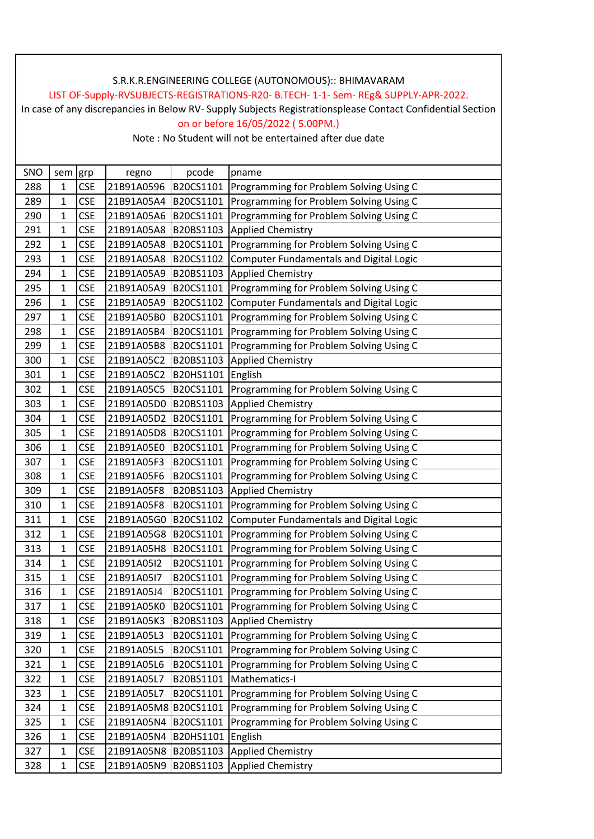## LIST OF-Supply-RVSUBJECTS-REGISTRATIONS-R20- B.TECH- 1-1- Sem- REg& SUPPLY-APR-2022.

In case of any discrepancies in Below RV- Supply Subjects Registrationsplease Contact Confidential Section on or before 16/05/2022 ( 5.00PM.)

| SNO | sem grp        |            | regno                | pcode     | pname                                          |
|-----|----------------|------------|----------------------|-----------|------------------------------------------------|
| 288 | $\mathbf{1}$   | <b>CSE</b> | 21B91A0596           | B20CS1101 | Programming for Problem Solving Using C        |
| 289 | 1              | <b>CSE</b> | 21B91A05A4           | B20CS1101 | Programming for Problem Solving Using C        |
| 290 | 1              | <b>CSE</b> | 21B91A05A6           | B20CS1101 | Programming for Problem Solving Using C        |
| 291 | 1              | <b>CSE</b> | 21B91A05A8           | B20BS1103 | <b>Applied Chemistry</b>                       |
| 292 | 1              | <b>CSE</b> | 21B91A05A8           | B20CS1101 | Programming for Problem Solving Using C        |
| 293 | 1              | <b>CSE</b> | 21B91A05A8           | B20CS1102 | <b>Computer Fundamentals and Digital Logic</b> |
| 294 | 1              | <b>CSE</b> | 21B91A05A9           | B20BS1103 | <b>Applied Chemistry</b>                       |
| 295 | 1              | <b>CSE</b> | 21B91A05A9           | B20CS1101 | Programming for Problem Solving Using C        |
| 296 | 1              | <b>CSE</b> | 21B91A05A9           | B20CS1102 | <b>Computer Fundamentals and Digital Logic</b> |
| 297 | $\mathbf{1}$   | <b>CSE</b> | 21B91A05B0           | B20CS1101 | Programming for Problem Solving Using C        |
| 298 | $\mathbf 1$    | <b>CSE</b> | 21B91A05B4           | B20CS1101 | Programming for Problem Solving Using C        |
| 299 | $\mathbf 1$    | <b>CSE</b> | 21B91A05B8           | B20CS1101 | Programming for Problem Solving Using C        |
| 300 | $\mathbf{1}$   | <b>CSE</b> | 21B91A05C2           | B20BS1103 | <b>Applied Chemistry</b>                       |
| 301 | $\mathbf 1$    | <b>CSE</b> | 21B91A05C2           | B20HS1101 | English                                        |
| 302 | 1              | <b>CSE</b> | 21B91A05C5           | B20CS1101 | Programming for Problem Solving Using C        |
| 303 | 1              | <b>CSE</b> | 21B91A05D0           | B20BS1103 | <b>Applied Chemistry</b>                       |
| 304 | $\mathbf 1$    | <b>CSE</b> | 21B91A05D2           | B20CS1101 | Programming for Problem Solving Using C        |
| 305 | 1              | <b>CSE</b> | 21B91A05D8           | B20CS1101 | Programming for Problem Solving Using C        |
| 306 | 1              | <b>CSE</b> | 21B91A05E0           | B20CS1101 | Programming for Problem Solving Using C        |
| 307 | $\mathbf 1$    | <b>CSE</b> | 21B91A05F3           | B20CS1101 | Programming for Problem Solving Using C        |
| 308 | 1              | <b>CSE</b> | 21B91A05F6           | B20CS1101 | Programming for Problem Solving Using C        |
| 309 | 1              | <b>CSE</b> | 21B91A05F8           | B20BS1103 | <b>Applied Chemistry</b>                       |
| 310 | $\mathbf 1$    | <b>CSE</b> | 21B91A05F8           | B20CS1101 | Programming for Problem Solving Using C        |
| 311 | 1              | <b>CSE</b> | 21B91A05G0           | B20CS1102 | <b>Computer Fundamentals and Digital Logic</b> |
| 312 | 1              | <b>CSE</b> | 21B91A05G8           | B20CS1101 | Programming for Problem Solving Using C        |
| 313 | 1              | <b>CSE</b> | 21B91A05H8           | B20CS1101 | Programming for Problem Solving Using C        |
| 314 | 1              | <b>CSE</b> | 21B91A05I2           | B20CS1101 | Programming for Problem Solving Using C        |
| 315 | 1              | <b>CSE</b> | 21B91A05I7           | B20CS1101 | Programming for Problem Solving Using C        |
| 316 | $\overline{1}$ | <b>CSE</b> | 21B91A05J4           | B20CS1101 | Programming for Problem Solving Using C        |
| 317 | 1              | <b>CSE</b> | 21B91A05K0           | B20CS1101 | Programming for Problem Solving Using C        |
| 318 | $\mathbf{1}$   | <b>CSE</b> | 21B91A05K3           | B20BS1103 | <b>Applied Chemistry</b>                       |
| 319 | $\mathbf 1$    | <b>CSE</b> | 21B91A05L3           | B20CS1101 | Programming for Problem Solving Using C        |
| 320 | 1              | <b>CSE</b> | 21B91A05L5           | B20CS1101 | Programming for Problem Solving Using C        |
| 321 | 1              | <b>CSE</b> | 21B91A05L6           | B20CS1101 | Programming for Problem Solving Using C        |
| 322 | 1              | <b>CSE</b> | 21B91A05L7           | B20BS1101 | Mathematics-I                                  |
| 323 | $\mathbf{1}$   | <b>CSE</b> | 21B91A05L7           | B20CS1101 | Programming for Problem Solving Using C        |
| 324 | 1              | <b>CSE</b> | 21B91A05M8 B20CS1101 |           | Programming for Problem Solving Using C        |
| 325 | 1              | <b>CSE</b> | 21B91A05N4           | B20CS1101 | Programming for Problem Solving Using C        |
| 326 | $\mathbf{1}$   | <b>CSE</b> | 21B91A05N4           | B20HS1101 | English                                        |
| 327 | 1              | <b>CSE</b> | 21B91A05N8           | B20BS1103 | <b>Applied Chemistry</b>                       |
| 328 | 1              | <b>CSE</b> | 21B91A05N9           | B20BS1103 | <b>Applied Chemistry</b>                       |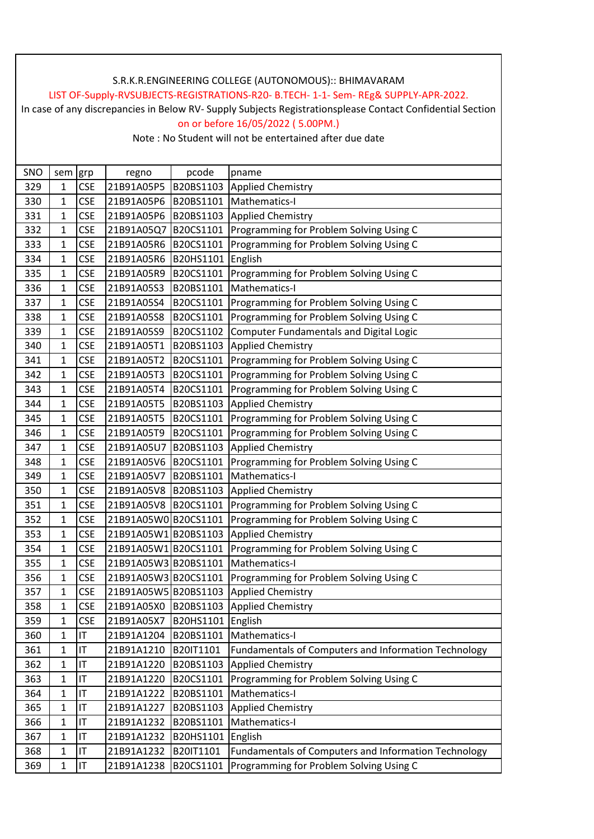## LIST OF-Supply-RVSUBJECTS-REGISTRATIONS-R20- B.TECH- 1-1- Sem- REg& SUPPLY-APR-2022.

In case of any discrepancies in Below RV- Supply Subjects Registrationsplease Contact Confidential Section on or before 16/05/2022 ( 5.00PM.)

| SNO | sem grp      |            | regno                | pcode     | pname                                                |
|-----|--------------|------------|----------------------|-----------|------------------------------------------------------|
| 329 | 1            | <b>CSE</b> | 21B91A05P5           | B20BS1103 | <b>Applied Chemistry</b>                             |
| 330 | 1            | <b>CSE</b> | 21B91A05P6           | B20BS1101 | Mathematics-I                                        |
| 331 | 1            | <b>CSE</b> | 21B91A05P6           | B20BS1103 | <b>Applied Chemistry</b>                             |
| 332 | 1            | <b>CSE</b> | 21B91A05Q7           | B20CS1101 | Programming for Problem Solving Using C              |
| 333 | 1            | <b>CSE</b> | 21B91A05R6           | B20CS1101 | Programming for Problem Solving Using C              |
| 334 | 1            | <b>CSE</b> | 21B91A05R6           | B20HS1101 | English                                              |
| 335 | $\mathbf{1}$ | <b>CSE</b> | 21B91A05R9           | B20CS1101 | Programming for Problem Solving Using C              |
| 336 | 1            | <b>CSE</b> | 21B91A05S3           | B20BS1101 | Mathematics-I                                        |
| 337 | 1            | <b>CSE</b> | 21B91A05S4           | B20CS1101 | Programming for Problem Solving Using C              |
| 338 | 1            | <b>CSE</b> | 21B91A05S8           | B20CS1101 | Programming for Problem Solving Using C              |
| 339 | 1            | <b>CSE</b> | 21B91A05S9           | B20CS1102 | Computer Fundamentals and Digital Logic              |
| 340 | 1            | <b>CSE</b> | 21B91A05T1           | B20BS1103 | <b>Applied Chemistry</b>                             |
| 341 | 1            | <b>CSE</b> | 21B91A05T2           | B20CS1101 | Programming for Problem Solving Using C              |
| 342 | $\mathbf 1$  | <b>CSE</b> | 21B91A05T3           | B20CS1101 | Programming for Problem Solving Using C              |
| 343 | 1            | <b>CSE</b> | 21B91A05T4           | B20CS1101 | Programming for Problem Solving Using C              |
| 344 | $\mathbf 1$  | <b>CSE</b> | 21B91A05T5           | B20BS1103 | <b>Applied Chemistry</b>                             |
| 345 | $\mathbf{1}$ | <b>CSE</b> | 21B91A05T5           | B20CS1101 | Programming for Problem Solving Using C              |
| 346 | 1            | <b>CSE</b> | 21B91A05T9           | B20CS1101 | Programming for Problem Solving Using C              |
| 347 | 1            | <b>CSE</b> | 21B91A05U7           | B20BS1103 | <b>Applied Chemistry</b>                             |
| 348 | $\mathbf 1$  | <b>CSE</b> | 21B91A05V6           | B20CS1101 | Programming for Problem Solving Using C              |
| 349 | 1            | <b>CSE</b> | 21B91A05V7           | B20BS1101 | Mathematics-I                                        |
| 350 | $\mathbf 1$  | <b>CSE</b> | 21B91A05V8           | B20BS1103 | <b>Applied Chemistry</b>                             |
| 351 | 1            | <b>CSE</b> | 21B91A05V8           | B20CS1101 | Programming for Problem Solving Using C              |
| 352 | 1            | <b>CSE</b> | 21B91A05W0B20CS1101  |           | Programming for Problem Solving Using C              |
| 353 | $\mathbf 1$  | <b>CSE</b> | 21B91A05W1 B20BS1103 |           | <b>Applied Chemistry</b>                             |
| 354 | 1            | <b>CSE</b> | 21B91A05W1B20CS1101  |           | Programming for Problem Solving Using C              |
| 355 | $\mathbf 1$  | <b>CSE</b> | 21B91A05W3 B20BS1101 |           | Mathematics-I                                        |
| 356 | 1            | <b>CSE</b> | 21B91A05W3 B20CS1101 |           | Programming for Problem Solving Using C              |
| 357 | $\mathbf{1}$ | <b>CSE</b> | 21B91A05W5B20BS1103  |           | <b>Applied Chemistry</b>                             |
| 358 | 1            | <b>CSE</b> | 21B91A05X0 B20BS1103 |           | <b>Applied Chemistry</b>                             |
| 359 | 1            | <b>CSE</b> | 21B91A05X7           | B20HS1101 | English                                              |
| 360 | $\mathbf 1$  | IT         | 21B91A1204           | B20BS1101 | Mathematics-I                                        |
| 361 | $\mathbf 1$  | IT         | 21B91A1210           | B20IT1101 | Fundamentals of Computers and Information Technology |
| 362 | $\mathbf 1$  | IT         | 21B91A1220           | B20BS1103 | <b>Applied Chemistry</b>                             |
| 363 | $\mathbf 1$  | IT         | 21B91A1220           | B20CS1101 | Programming for Problem Solving Using C              |
| 364 | $\mathbf 1$  | IT         | 21B91A1222           | B20BS1101 | Mathematics-I                                        |
| 365 | 1            | IT         | 21B91A1227           | B20BS1103 | <b>Applied Chemistry</b>                             |
| 366 | 1            | IT         | 21B91A1232           | B20BS1101 | Mathematics-I                                        |
| 367 | $\mathbf 1$  | IT         | 21B91A1232           | B20HS1101 | English                                              |
| 368 | 1            | IT         | 21B91A1232           | B20IT1101 | Fundamentals of Computers and Information Technology |
| 369 | $\mathbf 1$  | IT         | 21B91A1238           | B20CS1101 | Programming for Problem Solving Using C              |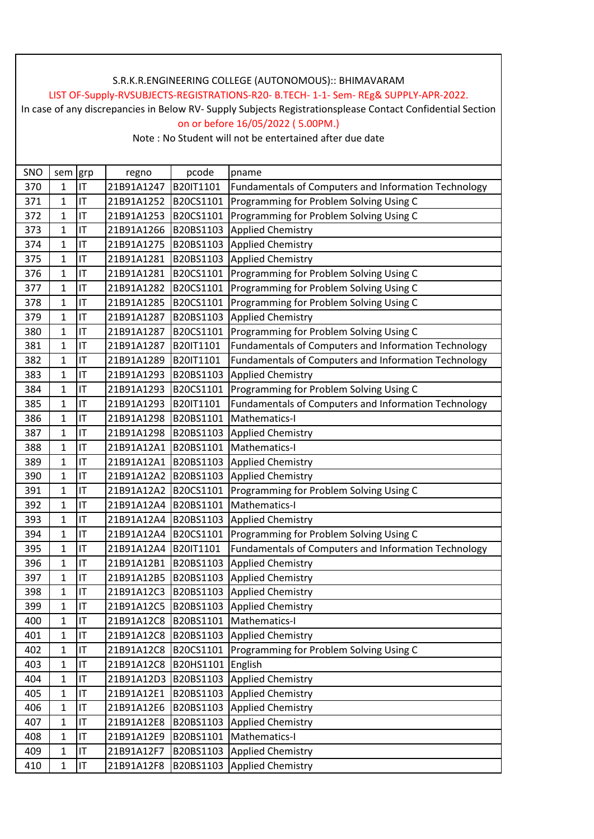## LIST OF-Supply-RVSUBJECTS-REGISTRATIONS-R20- B.TECH- 1-1- Sem- REg& SUPPLY-APR-2022.

In case of any discrepancies in Below RV- Supply Subjects Registrationsplease Contact Confidential Section on or before 16/05/2022 ( 5.00PM.)

| SNO | sem grp        |    | regno      | pcode     | pname                                                |
|-----|----------------|----|------------|-----------|------------------------------------------------------|
| 370 | $\mathbf{1}$   | IT | 21B91A1247 | B20IT1101 | Fundamentals of Computers and Information Technology |
| 371 | $\overline{1}$ | IT | 21B91A1252 | B20CS1101 | Programming for Problem Solving Using C              |
| 372 | 1              | IT | 21B91A1253 | B20CS1101 | Programming for Problem Solving Using C              |
| 373 | $\overline{1}$ | IT | 21B91A1266 | B20BS1103 | <b>Applied Chemistry</b>                             |
| 374 | 1              | IT | 21B91A1275 | B20BS1103 | <b>Applied Chemistry</b>                             |
| 375 | 1              | IT | 21B91A1281 | B20BS1103 | Applied Chemistry                                    |
| 376 | 1              | IT | 21B91A1281 | B20CS1101 | Programming for Problem Solving Using C              |
| 377 | 1              | IT | 21B91A1282 | B20CS1101 | Programming for Problem Solving Using C              |
| 378 | $\mathbf 1$    | IT | 21B91A1285 | B20CS1101 | Programming for Problem Solving Using C              |
| 379 | 1              | IT | 21B91A1287 | B20BS1103 | Applied Chemistry                                    |
| 380 | $\overline{1}$ | IT | 21B91A1287 | B20CS1101 | Programming for Problem Solving Using C              |
| 381 | $\mathbf 1$    | IT | 21B91A1287 | B20IT1101 | Fundamentals of Computers and Information Technology |
| 382 | 1              | IT | 21B91A1289 | B20IT1101 | Fundamentals of Computers and Information Technology |
| 383 | 1              | IT | 21B91A1293 | B20BS1103 | <b>Applied Chemistry</b>                             |
| 384 | $\overline{1}$ | IT | 21B91A1293 | B20CS1101 | Programming for Problem Solving Using C              |
| 385 | $\mathbf{1}$   | IT | 21B91A1293 | B20IT1101 | Fundamentals of Computers and Information Technology |
| 386 | $\overline{1}$ | IT | 21B91A1298 | B20BS1101 | Mathematics-I                                        |
| 387 | $\mathbf{1}$   | IT | 21B91A1298 | B20BS1103 | <b>Applied Chemistry</b>                             |
| 388 | $\mathbf 1$    | IT | 21B91A12A1 | B20BS1101 | Mathematics-I                                        |
| 389 | $\mathbf{1}$   | IT | 21B91A12A1 | B20BS1103 | <b>Applied Chemistry</b>                             |
| 390 | $\overline{1}$ | IT | 21B91A12A2 | B20BS1103 | <b>Applied Chemistry</b>                             |
| 391 | 1              | IT | 21B91A12A2 | B20CS1101 | Programming for Problem Solving Using C              |
| 392 | $\overline{1}$ | IT | 21B91A12A4 | B20BS1101 | Mathematics-I                                        |
| 393 | 1              | IT | 21B91A12A4 | B20BS1103 | <b>Applied Chemistry</b>                             |
| 394 | $\overline{1}$ | IT | 21B91A12A4 | B20CS1101 | Programming for Problem Solving Using C              |
| 395 | $\mathbf 1$    | IT | 21B91A12A4 | B20IT1101 | Fundamentals of Computers and Information Technology |
| 396 | 1              | IT | 21B91A12B1 | B20BS1103 | <b>Applied Chemistry</b>                             |
| 397 | 1              | IT | 21B91A12B5 | B20BS1103 | <b>Applied Chemistry</b>                             |
| 398 | $\mathbf 1$    | IT | 21B91A12C3 | B20BS1103 | <b>Applied Chemistry</b>                             |
| 399 | $\mathbf{1}$   | IT | 21B91A12C5 | B20BS1103 | <b>Applied Chemistry</b>                             |
| 400 | $\mathbf 1$    | IT | 21B91A12C8 | B20BS1101 | Mathematics-I                                        |
| 401 | $\mathbf 1$    | IT | 21B91A12C8 | B20BS1103 | <b>Applied Chemistry</b>                             |
| 402 | $\mathbf 1$    | IT | 21B91A12C8 | B20CS1101 | Programming for Problem Solving Using C              |
| 403 | $\overline{1}$ | IT | 21B91A12C8 | B20HS1101 | English                                              |
| 404 | $\mathbf 1$    | IT | 21B91A12D3 | B20BS1103 | Applied Chemistry                                    |
| 405 | $\mathbf 1$    | IT | 21B91A12E1 | B20BS1103 | Applied Chemistry                                    |
| 406 | $\mathbf 1$    | IT | 21B91A12E6 | B20BS1103 | <b>Applied Chemistry</b>                             |
| 407 | 1              | IT | 21B91A12E8 | B20BS1103 | <b>Applied Chemistry</b>                             |
| 408 | $\mathbf 1$    | IT | 21B91A12E9 | B20BS1101 | Mathematics-I                                        |
| 409 | $\mathbf 1$    | IT | 21B91A12F7 | B20BS1103 | <b>Applied Chemistry</b>                             |
| 410 | 1              | IT | 21B91A12F8 | B20BS1103 | Applied Chemistry                                    |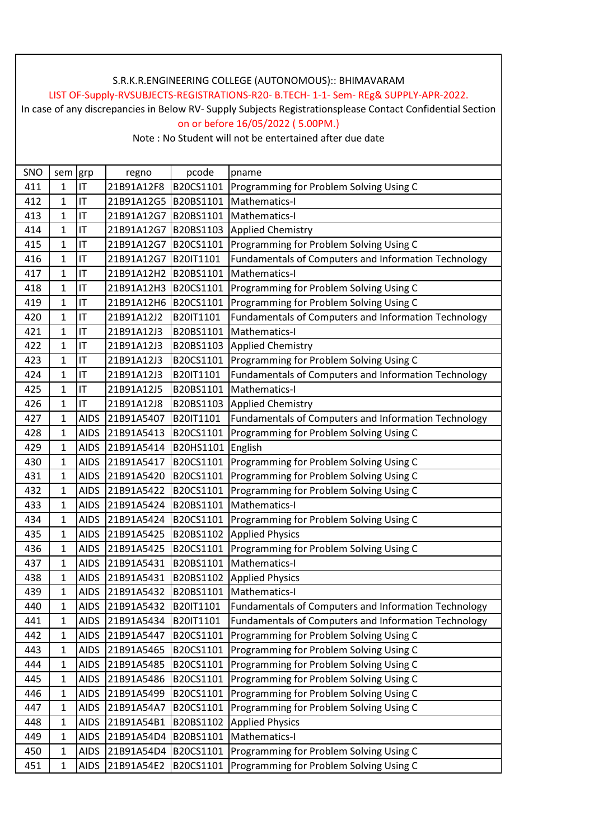## LIST OF-Supply-RVSUBJECTS-REGISTRATIONS-R20- B.TECH- 1-1- Sem- REg& SUPPLY-APR-2022.

In case of any discrepancies in Below RV- Supply Subjects Registrationsplease Contact Confidential Section on or before 16/05/2022 ( 5.00PM.)

| SNO | sem          | grp         | regno           | pcode            | pname                                                |
|-----|--------------|-------------|-----------------|------------------|------------------------------------------------------|
| 411 | 1            | IT          | 21B91A12F8      | B20CS1101        | Programming for Problem Solving Using C              |
| 412 | 1            | IT          | 21B91A12G5      | B20BS1101        | Mathematics-I                                        |
| 413 | $\mathbf{1}$ | IT          | 21B91A12G7      | B20BS1101        | Mathematics-I                                        |
| 414 | 1            | IT          | 21B91A12G7      | B20BS1103        | <b>Applied Chemistry</b>                             |
| 415 | $\mathbf{1}$ | IT          | 21B91A12G7      | B20CS1101        | Programming for Problem Solving Using C              |
| 416 | $\mathbf{1}$ | IT          | 21B91A12G7      | B20IT1101        | Fundamentals of Computers and Information Technology |
| 417 | $\mathbf{1}$ | IT          | 21B91A12H2      | B20BS1101        | Mathematics-I                                        |
| 418 | $\mathbf{1}$ | IT          | 21B91A12H3      | B20CS1101        | Programming for Problem Solving Using C              |
| 419 | 1            | IT          | 21B91A12H6      | B20CS1101        | Programming for Problem Solving Using C              |
| 420 | $\mathbf{1}$ | IT          | 21B91A12J2      | B20IT1101        | Fundamentals of Computers and Information Technology |
| 421 | $\mathbf 1$  | IT          | 21B91A12J3      | B20BS1101        | Mathematics-I                                        |
| 422 | $\mathbf{1}$ | IT          | 21B91A12J3      | B20BS1103        | <b>Applied Chemistry</b>                             |
| 423 | 1            | IT          | 21B91A12J3      | B20CS1101        | Programming for Problem Solving Using C              |
| 424 | 1            | IT          | 21B91A12J3      | B20IT1101        | Fundamentals of Computers and Information Technology |
| 425 | $\mathbf{1}$ | IT          | 21B91A12J5      | B20BS1101        | Mathematics-I                                        |
| 426 | $\mathbf{1}$ | IT          | 21B91A12J8      | B20BS1103        | <b>Applied Chemistry</b>                             |
| 427 | 1            | <b>AIDS</b> | 21B91A5407      | B20IT1101        | Fundamentals of Computers and Information Technology |
| 428 | 1            | <b>AIDS</b> | 21B91A5413      | B20CS1101        | Programming for Problem Solving Using C              |
| 429 | $\mathbf{1}$ | <b>AIDS</b> | 21B91A5414      | B20HS1101        | English                                              |
| 430 | 1            | <b>AIDS</b> | 21B91A5417      | B20CS1101        | Programming for Problem Solving Using C              |
| 431 | 1            | <b>AIDS</b> | 21B91A5420      | B20CS1101        | Programming for Problem Solving Using C              |
| 432 | $\mathbf{1}$ | <b>AIDS</b> | 21B91A5422      | B20CS1101        | Programming for Problem Solving Using C              |
| 433 | 1            | <b>AIDS</b> | 21B91A5424      | B20BS1101        | Mathematics-I                                        |
| 434 | 1            | <b>AIDS</b> | 21B91A5424      | B20CS1101        | Programming for Problem Solving Using C              |
| 435 | 1            | <b>AIDS</b> | 21B91A5425      | B20BS1102        | <b>Applied Physics</b>                               |
| 436 | 1            | <b>AIDS</b> | 21B91A5425      | B20CS1101        | Programming for Problem Solving Using C              |
| 437 | 1            | <b>AIDS</b> | 21B91A5431      | B20BS1101        | Mathematics-I                                        |
| 438 | 1            | <b>AIDS</b> | 21B91A5431      | B20BS1102        | <b>Applied Physics</b>                               |
| 439 | 1            | <b>AIDS</b> | 21B91A5432      | B20BS1101        | Mathematics-I                                        |
| 440 | 1            |             | AIDS 21B91A5432 | B20IT1101        | Fundamentals of Computers and Information Technology |
| 441 | 1            | <b>AIDS</b> | 21B91A5434      | <b>B201T1101</b> | Fundamentals of Computers and Information Technology |
| 442 | $\mathbf 1$  | <b>AIDS</b> | 21B91A5447      | B20CS1101        | Programming for Problem Solving Using C              |
| 443 | 1            | <b>AIDS</b> | 21B91A5465      | B20CS1101        | Programming for Problem Solving Using C              |
| 444 | $\mathbf 1$  | <b>AIDS</b> | 21B91A5485      | B20CS1101        | Programming for Problem Solving Using C              |
| 445 | 1            | <b>AIDS</b> | 21B91A5486      | B20CS1101        | Programming for Problem Solving Using C              |
| 446 | 1            | <b>AIDS</b> | 21B91A5499      | B20CS1101        | Programming for Problem Solving Using C              |
| 447 | 1            | <b>AIDS</b> | 21B91A54A7      | B20CS1101        | Programming for Problem Solving Using C              |
| 448 | $\mathbf 1$  | <b>AIDS</b> | 21B91A54B1      | B20BS1102        | <b>Applied Physics</b>                               |
| 449 | $\mathbf 1$  | <b>AIDS</b> | 21B91A54D4      | B20BS1101        | Mathematics-I                                        |
| 450 | 1            | <b>AIDS</b> | 21B91A54D4      | B20CS1101        | Programming for Problem Solving Using C              |
| 451 | $\mathbf 1$  | <b>AIDS</b> | 21B91A54E2      | B20CS1101        | Programming for Problem Solving Using C              |
|     |              |             |                 |                  |                                                      |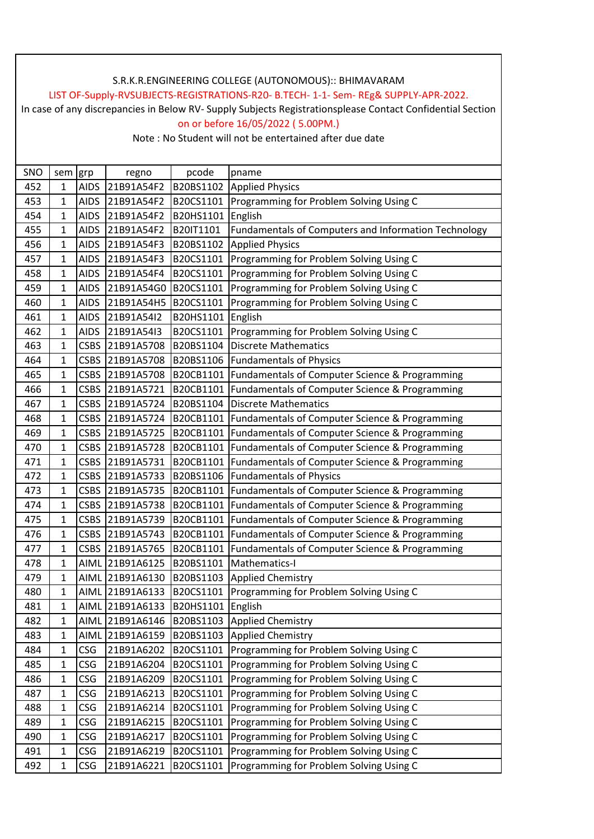## LIST OF-Supply-RVSUBJECTS-REGISTRATIONS-R20- B.TECH- 1-1- Sem- REg& SUPPLY-APR-2022.

In case of any discrepancies in Below RV- Supply Subjects Registrationsplease Contact Confidential Section on or before 16/05/2022 ( 5.00PM.)

| SNO | sem grp      |             | regno           | pcode     | pname                                                |
|-----|--------------|-------------|-----------------|-----------|------------------------------------------------------|
| 452 | $\mathbf{1}$ | <b>AIDS</b> | 21B91A54F2      | B20BS1102 | <b>Applied Physics</b>                               |
| 453 | 1            | <b>AIDS</b> | 21B91A54F2      | B20CS1101 | Programming for Problem Solving Using C              |
| 454 | $\mathbf{1}$ | <b>AIDS</b> | 21B91A54F2      | B20HS1101 | English                                              |
| 455 | 1            | <b>AIDS</b> | 21B91A54F2      | B20IT1101 | Fundamentals of Computers and Information Technology |
| 456 | 1            | <b>AIDS</b> | 21B91A54F3      | B20BS1102 | <b>Applied Physics</b>                               |
| 457 | $\mathbf{1}$ | <b>AIDS</b> | 21B91A54F3      | B20CS1101 | Programming for Problem Solving Using C              |
| 458 | 1            | <b>AIDS</b> | 21B91A54F4      | B20CS1101 | Programming for Problem Solving Using C              |
| 459 | $\mathbf{1}$ | <b>AIDS</b> | 21B91A54G0      | B20CS1101 | Programming for Problem Solving Using C              |
| 460 | 1            | <b>AIDS</b> | 21B91A54H5      | B20CS1101 | Programming for Problem Solving Using C              |
| 461 | $\mathbf{1}$ | <b>AIDS</b> | 21B91A54I2      | B20HS1101 | English                                              |
| 462 | 1            | <b>AIDS</b> | 21B91A54I3      | B20CS1101 | Programming for Problem Solving Using C              |
| 463 | $\mathbf 1$  | <b>CSBS</b> | 21B91A5708      | B20BS1104 | <b>Discrete Mathematics</b>                          |
| 464 | $\mathbf{1}$ | <b>CSBS</b> | 21B91A5708      | B20BS1106 | <b>Fundamentals of Physics</b>                       |
| 465 | 1            | <b>CSBS</b> | 21B91A5708      | B20CB1101 | Fundamentals of Computer Science & Programming       |
| 466 | $\mathbf{1}$ | <b>CSBS</b> | 21B91A5721      | B20CB1101 | Fundamentals of Computer Science & Programming       |
| 467 | $\mathbf{1}$ | <b>CSBS</b> | 21B91A5724      | B20BS1104 | <b>Discrete Mathematics</b>                          |
| 468 | $\mathbf{1}$ | <b>CSBS</b> | 21B91A5724      | B20CB1101 | Fundamentals of Computer Science & Programming       |
| 469 | $\mathbf{1}$ | <b>CSBS</b> | 21B91A5725      | B20CB1101 | Fundamentals of Computer Science & Programming       |
| 470 | $\mathbf{1}$ | <b>CSBS</b> | 21B91A5728      | B20CB1101 | Fundamentals of Computer Science & Programming       |
| 471 | 1            | <b>CSBS</b> | 21B91A5731      | B20CB1101 | Fundamentals of Computer Science & Programming       |
| 472 | 1            | <b>CSBS</b> | 21B91A5733      | B20BS1106 | <b>Fundamentals of Physics</b>                       |
| 473 | $\mathbf{1}$ | <b>CSBS</b> | 21B91A5735      | B20CB1101 | Fundamentals of Computer Science & Programming       |
| 474 | 1            | <b>CSBS</b> | 21B91A5738      | B20CB1101 | Fundamentals of Computer Science & Programming       |
| 475 | 1            | <b>CSBS</b> | 21B91A5739      | B20CB1101 | Fundamentals of Computer Science & Programming       |
| 476 | $\mathbf{1}$ | <b>CSBS</b> | 21B91A5743      | B20CB1101 | Fundamentals of Computer Science & Programming       |
| 477 | $\mathbf 1$  | <b>CSBS</b> | 21B91A5765      | B20CB1101 | Fundamentals of Computer Science & Programming       |
| 478 | $\mathbf{1}$ | AIML        | 21B91A6125      | B20BS1101 | Mathematics-I                                        |
| 479 | 1            | AIML        | 21B91A6130      | B20BS1103 | <b>Applied Chemistry</b>                             |
| 480 | $\mathbf 1$  |             | AIML 21B91A6133 | B20CS1101 | Programming for Problem Solving Using C              |
| 481 | $\mathbf{1}$ |             | AIML 21B91A6133 | B20HS1101 | English                                              |
| 482 | $\mathbf{1}$ |             | AIML 21B91A6146 | B20BS1103 | <b>Applied Chemistry</b>                             |
| 483 | $\mathbf{1}$ | AIML        | 21B91A6159      | B20BS1103 | <b>Applied Chemistry</b>                             |
| 484 | 1            | <b>CSG</b>  | 21B91A6202      | B20CS1101 | Programming for Problem Solving Using C              |
| 485 | $\mathbf{1}$ | <b>CSG</b>  | 21B91A6204      | B20CS1101 | Programming for Problem Solving Using C              |
| 486 | $\mathbf{1}$ | <b>CSG</b>  | 21B91A6209      | B20CS1101 | Programming for Problem Solving Using C              |
| 487 | $\mathbf{1}$ | <b>CSG</b>  | 21B91A6213      | B20CS1101 | Programming for Problem Solving Using C              |
| 488 | $\mathbf 1$  | <b>CSG</b>  | 21B91A6214      | B20CS1101 | Programming for Problem Solving Using C              |
| 489 | $\mathbf{1}$ | <b>CSG</b>  | 21B91A6215      | B20CS1101 | Programming for Problem Solving Using C              |
| 490 | $\mathbf{1}$ | <b>CSG</b>  | 21B91A6217      | B20CS1101 | Programming for Problem Solving Using C              |
| 491 | 1            | <b>CSG</b>  | 21B91A6219      | B20CS1101 | Programming for Problem Solving Using C              |
| 492 | $\mathbf{1}$ | <b>CSG</b>  | 21B91A6221      | B20CS1101 | Programming for Problem Solving Using C              |